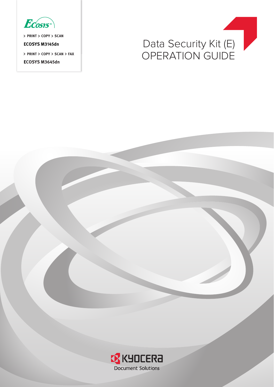

**PRINT COPY SCAN**

**ECOSYS M3145dn**

**PRINT COPY SCAN FAX**

**ECOSYS M3645dn**



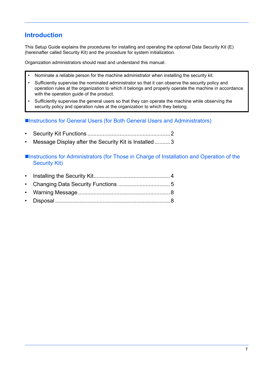# **Introduction**

This Setup Guide explains the procedures for installing and operating the optional Data Security Kit (E) (hereinafter called Security Kit) and the procedure for system initialization.

Organization administrators should read and understand this manual.

- Nominate a reliable person for the machine administrator when installing the security kit.
- Sufficiently supervise the nominated administrator so that it can observe the security policy and operation rules at the organization to which it belongs and properly operate the machine in accordance with the operation guide of the product.
- Sufficiently supervise the general users so that they can operate the machine while observing the security policy and operation rules at the organization to which they belong.

■Instructions for General Users (for Both General Users and Administrators)

- • [Security Kit Functions ......................................................2](#page-2-0)
- Message Display after the Security Kit is Installed .......... 3

■Instructions for Administrators (for Those in Charge of Installation and Operation of the Security Kit)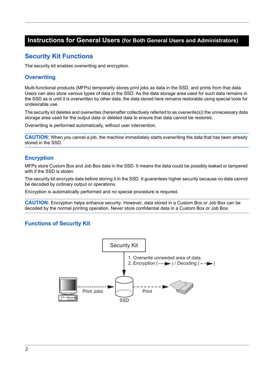## **Instructions for General Users (for Both General Users and Administrators)**

## <span id="page-2-0"></span>**Security Kit Functions**

The security kit enables overwriting and encryption.

#### **Overwriting**

Multi-functional products (MFPs) temporarily stores print jobs as data in the SSD, and prints from that data. Users can also store various types of data in the SSD. As the data storage area used for such data remains in the SSD as is until it is overwritten by other data, the data stored here remains restorable using special tools for undesirable use.

The security kit deletes and overwrites (hereinafter collectively referred to as *overwrite(s)*) the unnecessary data storage area used for the output data or deleted data to ensure that data cannot be restored.

Overwriting is performed automatically, without user intervention.

**CAUTION:** When you cancel a job, the machine immediately starts overwriting the data that has been already stored in the SSD.

#### **Encryption**

MFPs store Custom Box and Job Box data in the SSD. It means the data could be possibly leaked or tampered with if the SSD is stolen.

The security kit encrypts data before storing it in the SSD. It guarantees higher security because no data cannot be decoded by ordinary output or operations.

Encryption is automatically performed and no special procedure is required.

**CAUTION:** Encryption helps enhance security. However, data stored in a Custom Box or Job Box can be decoded by the normal printing operation. Never store confidential data in a Custom Box or Job Box.

#### **Functions of Security Kit**

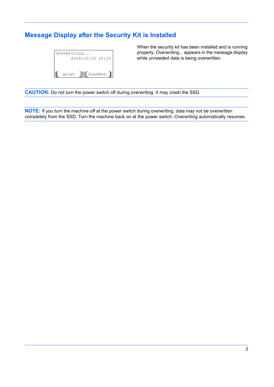# <span id="page-3-0"></span>**Message Display after the Security Kit is Installed**



When the security kit has been installed and is running properly, *Overwriting...* appears in the message display while unneeded data is being overwritten.

**CAUTION:** Do not turn the power switch off during overwriting. It may crash the SSD.

**NOTE:** If you turn the machine off at the power switch during overwriting, data may not be overwritten completely from the SSD. Turn the machine back on at the power switch. Overwriting automatically resumes.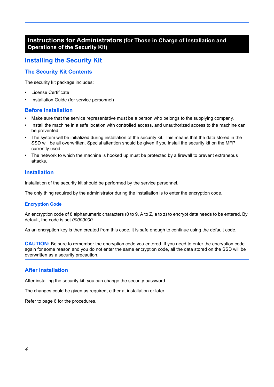## **Instructions for Administrators (for Those in Charge of Installation and Operations of the Security Kit)**

# <span id="page-4-0"></span>**Installing the Security Kit**

### **The Security Kit Contents**

The security kit package includes:

- License Certificate
- Installation Guide (for service personnel)

### **Before Installation**

- Make sure that the service representative must be a person who belongs to the supplying company.
- Install the machine in a safe location with controlled access, and unauthorized access to the machine can be prevented.
- The system will be initialized during installation of the security kit. This means that the data stored in the SSD will be all overwritten. Special attention should be given if you install the security kit on the MFP currently used.
- The network to which the machine is hooked up must be protected by a firewall to prevent extraneous attacks.

### **Installation**

Installation of the security kit should be performed by the service personnel.

The only thing required by the administrator during the installation is to enter the encryption code.

#### **Encryption Code**

An encryption code of 8 alphanumeric characters (0 to 9, A to Z, a to z) to encrypt data needs to be entered. By default, the code is set *00000000*.

As an encryption key is then created from this code, it is safe enough to continue using the default code.

**CAUTION:** Be sure to remember the encryption code you entered. If you need to enter the encryption code again for some reason and you do not enter the same encryption code, all the data stored on the SSD will be overwritten as a security precaution.

### **After Installation**

After installing the security kit, you can change the security password.

The changes could be given as required, either at installation or later.

Refer to [page 6](#page-6-0) for the procedures.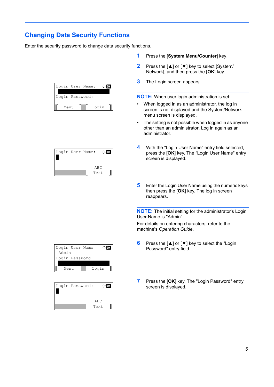# <span id="page-5-0"></span>**Changing Data Security Functions**

Enter the security password to change data security functions.

| Login User Name: |  |       |  |
|------------------|--|-------|--|
| Login Password:  |  |       |  |
|                  |  |       |  |
| Menu             |  | Login |  |



- **1** Press the [**System Menu/Counter**] key.
- **2** Press the [▲] or [▼] key to select [System/ Network], and then press the [**OK**] key.
- **3** The Login screen appears.

**NOTE:** When user login administration is set:

- When logged in as an administrator, the log in screen is not displayed and the System/Network menu screen is displayed.
- The setting is not possible when logged in as anyone other than an administrator. Log in again as an administrator.
- **4** With the "Login User Name" entry field selected, press the [**OK**] key. The "Login User Name" entry screen is displayed.
- **5** Enter the Login User Name using the numeric keys then press the [**OK**] key. The log in screen reappears.

**NOTE:** The initial setting for the administrator's Login User Name is "Admin".

For details on entering characters, refer to the machine's *Operation Guide*.

- **6** Press the [▲] or [▼] key to select the "Login Password" entry field.
- **7** Press the [**OK**] key. The "Login Password" entry screen is displayed.



|  | Login Password: |      |
|--|-----------------|------|
|  |                 |      |
|  |                 | ABC  |
|  |                 | Text |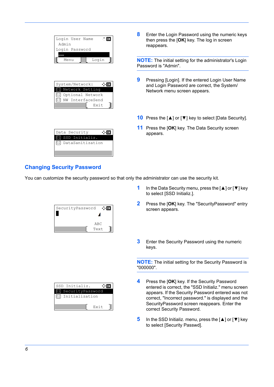| <b>OK</b><br>Login User Name<br>Admin<br>Login Password<br>                                      | 8<br>Enter the Login Password using the numeric keys<br>then press the $[OK]$ key. The log in screen<br>reappears.                   |
|--------------------------------------------------------------------------------------------------|--------------------------------------------------------------------------------------------------------------------------------------|
| Login<br>Menu                                                                                    | <b>NOTE:</b> The initial setting for the administrator's Login<br>Password is "Admin".                                               |
| ⊹ood<br>System/Network:<br>Network Setting<br>Optional Network<br>[03] NW InterfaceSend<br>Exit. | 9<br>Pressing [Login]. If the entered Login User Name<br>and Login Password are correct, the System/<br>Network menu screen appears. |
|                                                                                                  | <b>10</b> Press the [ $\triangle$ ] or [ $\nabla$ ] key to select [Data Security].                                                   |
| Data Security<br>⊹lox<br>SSD Initializ.<br>DataSanitization<br>021                               | <b>11</b> Press the [OK] key. The Data Security screen<br>appears.                                                                   |

### <span id="page-6-0"></span>**Changing Security Password**

You can customize the security password so that only the administrator can use the security kit.



SSD Initializ. 01 SecurityPassword 02 Initialization

Exit

 $\Leftrightarrow$  or

**1** In the Data Security menu, press the [▲] or [▼] key

**2** Press the [**OK**] key. The "SecurityPassword" entry

to select [SSD Initializ.].

screen appears.

**3** Enter the Security Password using the numeric keys.

**NOTE:** The initial setting for the Security Password is "000000".

- **4** Press the [**OK**] key. If the Security Password entered is correct, the "SSD Initializ." menu screen appears. If the Security Password entered was not correct, "Incorrect password." is displayed and the SecurityPassword screen reappears. Enter the correct Security Password.
- **5** In the SSD Initializ. menu, press the [▲] or [▼] key to select [Security Passwd].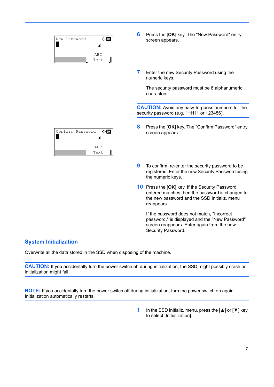| New Password |             |  |
|--------------|-------------|--|
|              | ABC<br>Text |  |

- **6** Press the [**OK**] key. The "New Password" entry screen appears.
- **7** Enter the new Security Password using the numeric keys.

The security password must be 6 alphanumeric characters.

**CAUTION:** Avoid any easy-to-guess numbers for the security password (e.g. 111111 or 123456).

- **8** Press the [**OK**] key. The "Confirm Password" entry screen appears.
- **9** To confirm, re-enter the security password to be registered. Enter the new Security Password using the numeric keys.
- **10** Press the [**OK**] key. If the Security Password entered matches then the password is changed to the new password and the SSD Initializ. menu reappears.

If the password does not match, "Incorrect password." is displayed and the "New Password" screen reappears. Enter again from the new Security Password.

### **System Initialization**

Overwrite all the data stored in the SSD when disposing of the machine.

**CAUTION:** If you accidentally turn the power switch off during initialization, the SSD might possibly crash or initialization might fail

**NOTE:** If you accidentally turn the power switch off during initialization, turn the power switch on again. Initialization automatically restarts.

> **1** In the SSD Initializ. menu, press the [▲] or [▼] key to select [Initialization].

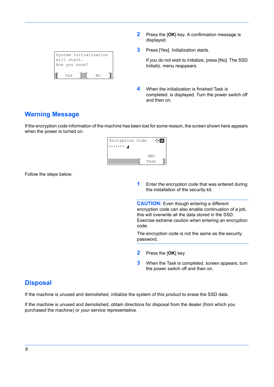| System Initialization<br>will start. |    |  |
|--------------------------------------|----|--|
| Are you sure?                        |    |  |
| Yes                                  | NΛ |  |

- **2** Press the [**OK**] key. A confirmation message is displayed.
- **3** Press [Yes]. Initialization starts.

If you do not wish to initialize, press [No]. The SSD Initializ. menu reappears.

**4** When the initialization is finished Task is completed. is displayed. Turn the power switch off and then on.

# <span id="page-8-1"></span>**Warning Message**

If the encryption code information of the machine has been lost for some reason, the screen shown here appears when the power is turned on.



Follow the steps below.

**1** Enter the encryption code that was entered during the installation of the security kit.

**CAUTION:** Even though entering a different encryption code can also enable continuation of a job, this will overwrite all the data stored in the SSD. Exercise extreme caution when entering an encryption code.

The encryption code is not the same as the security password.

- **2** Press the [**OK**] key.
- **3** When the Task is completed. screen appears, turn the power switch off and then on.

## <span id="page-8-0"></span>**Disposal**

If the machine is unused and demolished, initialize the system of this product to erase the SSD data.

If the machine is unused and demolished, obtain directions for disposal from the dealer (from which you purchased the machine) or your service representative.